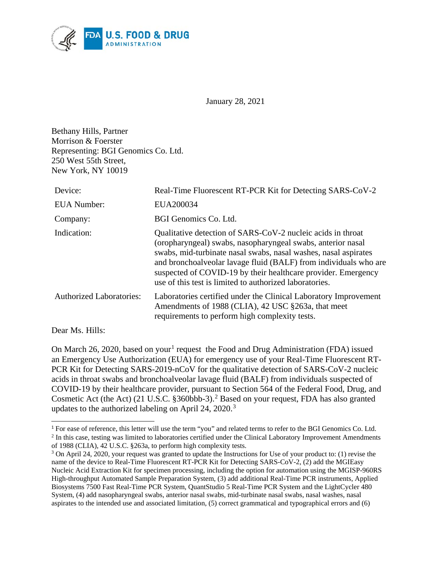

January 28, 2021

Bethany Hills, Partner Morrison & Foerster Representing: BGI Genomics Co. Ltd. 250 West 55th Street, New York, NY 10019

 $\overline{a}$ 

| Device:                         | Real-Time Fluorescent RT-PCR Kit for Detecting SARS-CoV-2                                                                                                                                                                                                                                                                                                                                     |
|---------------------------------|-----------------------------------------------------------------------------------------------------------------------------------------------------------------------------------------------------------------------------------------------------------------------------------------------------------------------------------------------------------------------------------------------|
| <b>EUA</b> Number:              | EUA200034                                                                                                                                                                                                                                                                                                                                                                                     |
| Company:                        | BGI Genomics Co. Ltd.                                                                                                                                                                                                                                                                                                                                                                         |
| Indication:                     | Qualitative detection of SARS-CoV-2 nucleic acids in throat<br>(oropharyngeal) swabs, nasopharyngeal swabs, anterior nasal<br>swabs, mid-turbinate nasal swabs, nasal washes, nasal aspirates<br>and bronchoalveolar lavage fluid (BALF) from individuals who are<br>suspected of COVID-19 by their healthcare provider. Emergency<br>use of this test is limited to authorized laboratories. |
| <b>Authorized Laboratories:</b> | Laboratories certified under the Clinical Laboratory Improvement<br>Amendments of 1988 (CLIA), 42 USC §263a, that meet<br>requirements to perform high complexity tests.                                                                                                                                                                                                                      |
| Dear Ms. Hills:                 |                                                                                                                                                                                                                                                                                                                                                                                               |

On March 26, 2020, based on your<sup>[1](#page-0-0)</sup> request the Food and Drug Administration (FDA) issued an Emergency Use Authorization (EUA) for emergency use of your Real-Time Fluorescent RT-PCR Kit for Detecting SARS-2019-nCoV for the qualitative detection of SARS-CoV-2 nucleic acids in throat swabs and bronchoalveolar lavage fluid (BALF) from individuals suspected of COVID-19 by their healthcare provider, pursuant to Section 564 of the Federal Food, Drug, and Cosmetic Act (the Act) (21 U.S.C. §360bbb-3). [2](#page-0-1) Based on your request, FDA has also granted updates to the authorized labeling on April 24, 2020.<sup>[3](#page-0-2)</sup>

<span id="page-0-1"></span><span id="page-0-0"></span><sup>1</sup> For ease of reference, this letter will use the term "you" and related terms to refer to the BGI Genomics Co. Ltd. <sup>2</sup> In this case, testing was limited to laboratories certified under the Clinical Laboratory Improvement Amendments of 1988 (CLIA), 42 U.S.C. §263a, to perform high complexity tests.

<span id="page-0-2"></span><sup>&</sup>lt;sup>3</sup> On April 24, 2020, your request was granted to update the Instructions for Use of your product to: (1) revise the name of the device to Real-Time Fluorescent RT-PCR Kit for Detecting SARS-CoV-2, (2) add the MGIEasy Nucleic Acid Extraction Kit for specimen processing, including the option for automation using the MGISP-960RS High-throughput Automated Sample Preparation System, (3) add additional Real-Time PCR instruments, Applied Biosystems 7500 Fast Real-Time PCR System, QuantStudio 5 Real-Time PCR System and the LightCycler 480 System, (4) add nasopharyngeal swabs, anterior nasal swabs, mid-turbinate nasal swabs, nasal washes, nasal aspirates to the intended use and associated limitation, (5) correct grammatical and typographical errors and (6)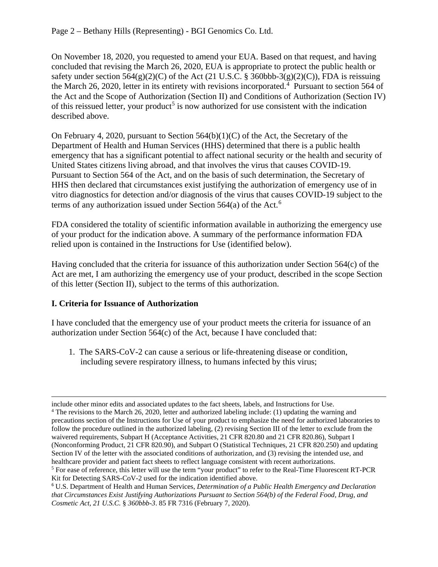On November 18, 2020, you requested to amend your EUA. Based on that request, and having concluded that revising the March 26, 2020, EUA is appropriate to protect the public health or safety under section  $564(g)(2)(C)$  of the Act (21 U.S.C. § 360bbb-3(g)(2)(C)), FDA is reissuing the March 26, 2020, letter in its entirety with revisions incorporated. [4](#page-1-0) Pursuant to section 564 of the Act and the Scope of Authorization (Section II) and Conditions of Authorization (Section IV) of this reissued letter, your product<sup>[5](#page-1-1)</sup> is now authorized for use consistent with the indication described above.

On February 4, 2020, pursuant to Section  $564(b)(1)(C)$  of the Act, the Secretary of the Department of Health and Human Services (HHS) determined that there is a public health emergency that has a significant potential to affect national security or the health and security of United States citizens living abroad, and that involves the virus that causes COVID-19. Pursuant to Section 564 of the Act, and on the basis of such determination, the Secretary of HHS then declared that circumstances exist justifying the authorization of emergency use of in vitro diagnostics for detection and/or diagnosis of the virus that causes COVID-19 subject to the terms of any authorization issued under Section 564(a) of the Act. [6](#page-1-2)

FDA considered the totality of scientific information available in authorizing the emergency use of your product for the indication above. A summary of the performance information FDA relied upon is contained in the Instructions for Use (identified below).

Having concluded that the criteria for issuance of this authorization under Section 564(c) of the Act are met, I am authorizing the emergency use of your product, described in the scope Section of this letter (Section II), subject to the terms of this authorization.

# **I. Criteria for Issuance of Authorization**

 $\overline{a}$ 

I have concluded that the emergency use of your product meets the criteria for issuance of an authorization under Section 564(c) of the Act, because I have concluded that:

1. The SARS-CoV-2 can cause a serious or life-threatening disease or condition, including severe respiratory illness, to humans infected by this virus;

<span id="page-1-0"></span>include other minor edits and associated updates to the fact sheets, labels, and Instructions for Use. <sup>4</sup> The revisions to the March 26, 2020, letter and authorized labeling include: (1) updating the warning and precautions section of the Instructions for Use of your product to emphasize the need for authorized laboratories to follow the procedure outlined in the authorized labeling, (2) revising Section III of the letter to exclude from the waivered requirements, Subpart H (Acceptance Activities, 21 CFR 820.80 and 21 CFR 820.86), Subpart I (Nonconforming Product, 21 CFR 820.90), and Subpart O (Statistical Techniques, 21 CFR 820.250) and updating Section IV of the letter with the associated conditions of authorization, and (3) revising the intended use, and healthcare provider and patient fact sheets to reflect language consistent with recent authorizations.

<span id="page-1-1"></span><sup>5</sup> For ease of reference, this letter will use the term "your product" to refer to the Real-Time Fluorescent RT-PCR Kit for Detecting SARS-CoV-2 used for the indication identified above.

<span id="page-1-2"></span><sup>6</sup> U.S. Department of Health and Human Services, *Determination of a Public Health Emergency and Declaration that Circumstances Exist Justifying Authorizations Pursuant to Section 564(b) of the Federal Food, Drug, and Cosmetic Act, 21 U.S.C.* § *360bbb-3*. 85 FR 7316 (February 7, 2020).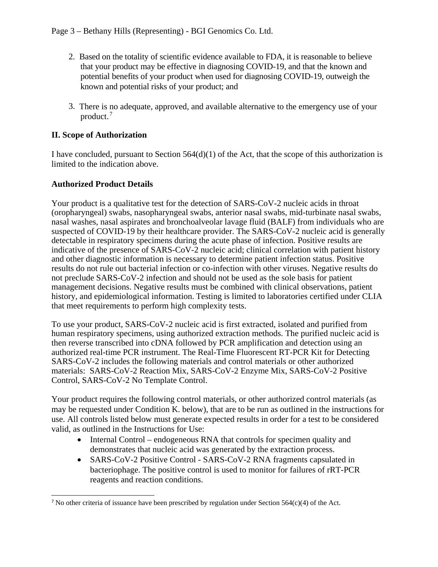- 2. Based on the totality of scientific evidence available to FDA, it is reasonable to believe that your product may be effective in diagnosing COVID-19, and that the known and potential benefits of your product when used for diagnosing COVID-19, outweigh the known and potential risks of your product; and
- 3. There is no adequate, approved, and available alternative to the emergency use of your product. [7](#page-2-0)

## **II. Scope of Authorization**

I have concluded, pursuant to Section 564(d)(1) of the Act, that the scope of this authorization is limited to the indication above.

### **Authorized Product Details**

 $\overline{a}$ 

Your product is a qualitative test for the detection of SARS-CoV-2 nucleic acids in throat (oropharyngeal) swabs, nasopharyngeal swabs, anterior nasal swabs, mid-turbinate nasal swabs, nasal washes, nasal aspirates and bronchoalveolar lavage fluid (BALF) from individuals who are suspected of COVID-19 by their healthcare provider. The SARS-CoV-2 nucleic acid is generally detectable in respiratory specimens during the acute phase of infection. Positive results are indicative of the presence of SARS-CoV-2 nucleic acid; clinical correlation with patient history and other diagnostic information is necessary to determine patient infection status. Positive results do not rule out bacterial infection or co-infection with other viruses. Negative results do not preclude SARS-CoV-2 infection and should not be used as the sole basis for patient management decisions. Negative results must be combined with clinical observations, patient history, and epidemiological information. Testing is limited to laboratories certified under CLIA that meet requirements to perform high complexity tests.

To use your product, SARS-CoV-2 nucleic acid is first extracted, isolated and purified from human respiratory specimens, using authorized extraction methods. The purified nucleic acid is then reverse transcribed into cDNA followed by PCR amplification and detection using an authorized real-time PCR instrument. The Real-Time Fluorescent RT-PCR Kit for Detecting SARS-CoV-2 includes the following materials and control materials or other authorized materials: SARS-CoV-2 Reaction Mix, SARS-CoV-2 Enzyme Mix, SARS-CoV-2 Positive Control, SARS-CoV-2 No Template Control.

Your product requires the following control materials, or other authorized control materials (as may be requested under Condition K. below), that are to be run as outlined in the instructions for use. All controls listed below must generate expected results in order for a test to be considered valid, as outlined in the Instructions for Use:

- Internal Control endogeneous RNA that controls for specimen quality and demonstrates that nucleic acid was generated by the extraction process.
- SARS-CoV-2 Positive Control SARS-CoV-2 RNA fragments capsulated in bacteriophage. The positive control is used to monitor for failures of rRT-PCR reagents and reaction conditions.

<span id="page-2-0"></span><sup>&</sup>lt;sup>7</sup> No other criteria of issuance have been prescribed by regulation under Section 564(c)(4) of the Act.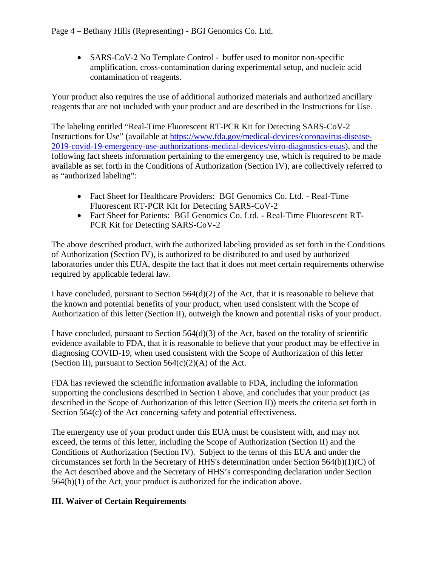• SARS-CoV-2 No Template Control - buffer used to monitor non-specific amplification, cross-contamination during experimental setup, and nucleic acid contamination of reagents.

Your product also requires the use of additional authorized materials and authorized ancillary reagents that are not included with your product and are described in the Instructions for Use.

The labeling entitled "Real-Time Fluorescent RT-PCR Kit for Detecting SARS-CoV-2 Instructions for Use" (available at [https://www.fda.gov/medical-devices/coronavirus-disease-](https://www.fda.gov/medical-devices/coronavirus-disease-2019-covid-19-emergency-use-authorizations-medical-devices/vitro-diagnostics-euas)[2019-covid-19-emergency-use-authorizations-medical-devices/vitro-diagnostics-euas\)](https://www.fda.gov/medical-devices/coronavirus-disease-2019-covid-19-emergency-use-authorizations-medical-devices/vitro-diagnostics-euas), and the following fact sheets information pertaining to the emergency use, which is required to be made available as set forth in the Conditions of Authorization (Section IV), are collectively referred to as "authorized labeling":

- Fact Sheet for Healthcare Providers: BGI Genomics Co. Ltd. Real-Time Fluorescent RT-PCR Kit for Detecting SARS-CoV-2
- Fact Sheet for Patients: BGI Genomics Co. Ltd. Real-Time Fluorescent RT-PCR Kit for Detecting SARS-CoV-2

The above described product, with the authorized labeling provided as set forth in the Conditions of Authorization (Section IV), is authorized to be distributed to and used by authorized laboratories under this EUA, despite the fact that it does not meet certain requirements otherwise required by applicable federal law.

I have concluded, pursuant to Section  $564(d)(2)$  of the Act, that it is reasonable to believe that the known and potential benefits of your product, when used consistent with the Scope of Authorization of this letter (Section II), outweigh the known and potential risks of your product.

I have concluded, pursuant to Section 564(d)(3) of the Act, based on the totality of scientific evidence available to FDA, that it is reasonable to believe that your product may be effective in diagnosing COVID-19, when used consistent with the Scope of Authorization of this letter (Section II), pursuant to Section  $564(c)(2)(A)$  of the Act.

FDA has reviewed the scientific information available to FDA, including the information supporting the conclusions described in Section I above, and concludes that your product (as described in the Scope of Authorization of this letter (Section II)) meets the criteria set forth in Section 564(c) of the Act concerning safety and potential effectiveness.

The emergency use of your product under this EUA must be consistent with, and may not exceed, the terms of this letter, including the Scope of Authorization (Section II) and the Conditions of Authorization (Section IV). Subject to the terms of this EUA and under the circumstances set forth in the Secretary of HHS's determination under Section 564(b)(1)(C) of the Act described above and the Secretary of HHS's corresponding declaration under Section 564(b)(1) of the Act, your product is authorized for the indication above.

# **III. Waiver of Certain Requirements**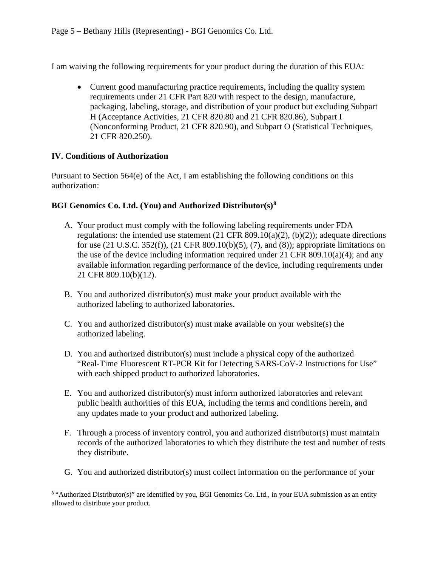I am waiving the following requirements for your product during the duration of this EUA:

• Current good manufacturing practice requirements, including the quality system requirements under 21 CFR Part 820 with respect to the design, manufacture, packaging, labeling, storage, and distribution of your product but excluding Subpart H (Acceptance Activities, 21 CFR 820.80 and 21 CFR 820.86), Subpart I (Nonconforming Product, 21 CFR 820.90), and Subpart O (Statistical Techniques, 21 CFR 820.250).

### **IV. Conditions of Authorization**

Pursuant to Section 564(e) of the Act, I am establishing the following conditions on this authorization:

#### **BGI Genomics Co. Ltd. (You) and Authorized Distributor(s)[8](#page-4-0)**

- A. Your product must comply with the following labeling requirements under FDA regulations: the intended use statement  $(21 \text{ CFR } 809.10(a)(2), (b)(2))$ ; adequate directions for use (21 U.S.C. 352(f)), (21 CFR 809.10(b)(5), (7), and (8)); appropriate limitations on the use of the device including information required under 21 CFR 809.10(a)(4); and any available information regarding performance of the device, including requirements under 21 CFR 809.10(b)(12).
- B. You and authorized distributor(s) must make your product available with the authorized labeling to authorized laboratories.
- C. You and authorized distributor(s) must make available on your website(s) the authorized labeling.
- D. You and authorized distributor(s) must include a physical copy of the authorized "Real-Time Fluorescent RT-PCR Kit for Detecting SARS-CoV-2 Instructions for Use" with each shipped product to authorized laboratories.
- E. You and authorized distributor(s) must inform authorized laboratories and relevant public health authorities of this EUA, including the terms and conditions herein, and any updates made to your product and authorized labeling.
- F. Through a process of inventory control, you and authorized distributor(s) must maintain records of the authorized laboratories to which they distribute the test and number of tests they distribute.
- G. You and authorized distributor(s) must collect information on the performance of your

<span id="page-4-0"></span> $\overline{a}$ <sup>8</sup> "Authorized Distributor(s)" are identified by you, BGI Genomics Co. Ltd., in your EUA submission as an entity allowed to distribute your product.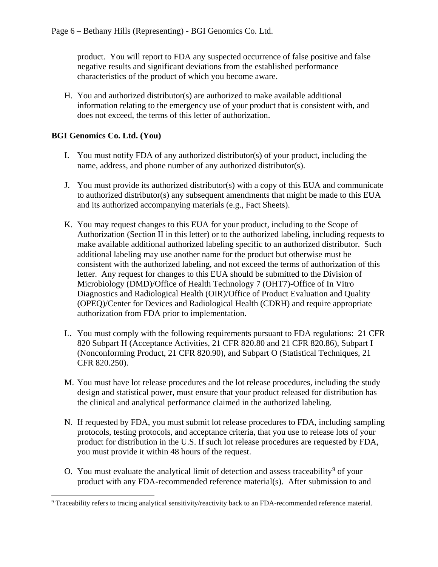product. You will report to FDA any suspected occurrence of false positive and false negative results and significant deviations from the established performance characteristics of the product of which you become aware.

H. You and authorized distributor(s) are authorized to make available additional information relating to the emergency use of your product that is consistent with, and does not exceed, the terms of this letter of authorization.

## **BGI Genomics Co. Ltd. (You)**

- I. You must notify FDA of any authorized distributor(s) of your product, including the name, address, and phone number of any authorized distributor(s).
- J. You must provide its authorized distributor(s) with a copy of this EUA and communicate to authorized distributor(s) any subsequent amendments that might be made to this EUA and its authorized accompanying materials (e.g., Fact Sheets).
- K. You may request changes to this EUA for your product, including to the Scope of Authorization (Section II in this letter) or to the authorized labeling, including requests to make available additional authorized labeling specific to an authorized distributor. Such additional labeling may use another name for the product but otherwise must be consistent with the authorized labeling, and not exceed the terms of authorization of this letter. Any request for changes to this EUA should be submitted to the Division of Microbiology (DMD)/Office of Health Technology 7 (OHT7)-Office of In Vitro Diagnostics and Radiological Health (OIR)/Office of Product Evaluation and Quality (OPEQ)/Center for Devices and Radiological Health (CDRH) and require appropriate authorization from FDA prior to implementation.
- L. You must comply with the following requirements pursuant to FDA regulations: 21 CFR 820 Subpart H (Acceptance Activities, 21 CFR 820.80 and 21 CFR 820.86), Subpart I (Nonconforming Product, 21 CFR 820.90), and Subpart O (Statistical Techniques, 21 CFR 820.250).
- M. You must have lot release procedures and the lot release procedures, including the study design and statistical power, must ensure that your product released for distribution has the clinical and analytical performance claimed in the authorized labeling.
- N. If requested by FDA, you must submit lot release procedures to FDA, including sampling protocols, testing protocols, and acceptance criteria, that you use to release lots of your product for distribution in the U.S. If such lot release procedures are requested by FDA, you must provide it within 48 hours of the request.
- O. You must evaluate the analytical limit of detection and assess traceability<sup>[9](#page-5-0)</sup> of your product with any FDA-recommended reference material(s). After submission to and

<span id="page-5-0"></span> <sup>9</sup> Traceability refers to tracing analytical sensitivity/reactivity back to an FDA-recommended reference material.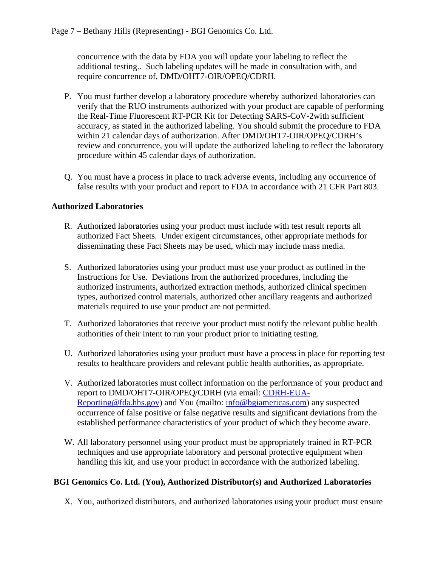concurrence with the data by FDA you will update your labeling to reflect the additional testing.. Such labeling updates will be made in consultation with, and require concurrence of, DMD/OHT7-OIR/OPEQ/CDRH.

- P. You must further develop a laboratory procedure whereby authorized laboratories can verify that the RUO instruments authorized with your product are capable of performing the Real-Time Fluorescent RT-PCR Kit for Detecting SARS-CoV-2with sufficient accuracy, as stated in the authorized labeling. You should submit the procedure to FDA within 21 calendar days of authorization. After DMD/OHT7-OIR/OPEQ/CDRH's review and concurrence, you will update the authorized labeling to reflect the laboratory procedure within 45 calendar days of authorization.
- Q. You must have a process in place to track adverse events, including any occurrence of false results with your product and report to FDA in accordance with 21 CFR Part 803.

## **Authorized Laboratories**

- R. Authorized laboratories using your product must include with test result reports all authorized Fact Sheets. Under exigent circumstances, other appropriate methods for disseminating these Fact Sheets may be used, which may include mass media.
- S. Authorized laboratories using your product must use your product as outlined in the Instructions for Use. Deviations from the authorized procedures, including the authorized instruments, authorized extraction methods, authorized clinical specimen types, authorized control materials, authorized other ancillary reagents and authorized materials required to use your product are not permitted.
- T. Authorized laboratories that receive your product must notify the relevant public health authorities of their intent to run your product prior to initiating testing.
- U. Authorized laboratories using your product must have a process in place for reporting test results to healthcare providers and relevant public health authorities, as appropriate.
- V. Authorized laboratories must collect information on the performance of your product and report to DMD/OHT7-OIR/OPEQ/CDRH (via email: [CDRH-EUA-](mailto:CDRH-EUA-Reporting@fda.hhs.gov)[Reporting@fda.hhs.gov\)](mailto:CDRH-EUA-Reporting@fda.hhs.gov) and You (mailto: [info@bgiamericas.com\)](mailto:info@bgiamericas.com) any suspected occurrence of false positive or false negative results and significant deviations from the established performance characteristics of your product of which they become aware.
- W. All laboratory personnel using your product must be appropriately trained in RT-PCR techniques and use appropriate laboratory and personal protective equipment when handling this kit, and use your product in accordance with the authorized labeling.

# **BGI Genomics Co. Ltd. (You), Authorized Distributor(s) and Authorized Laboratories**

X. You, authorized distributors, and authorized laboratories using your product must ensure